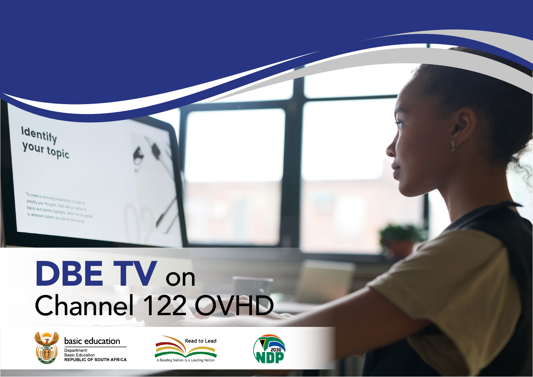Identify<br>your topic

To create a stunning presentation, it's best to simplify your thoughts. Start with an outline of<br>topics and identify highlights. Start with an outline of topics and identify highlights, which can be applied<br>to whatever subject you plan on the base be applied. to whatever subject you plan on discussing

## DBE TV on Channel 122 OVHD



basic education Department: Bepartment.<br>Basic Education<br>REPUBLIC OF SOUTH AFRICA



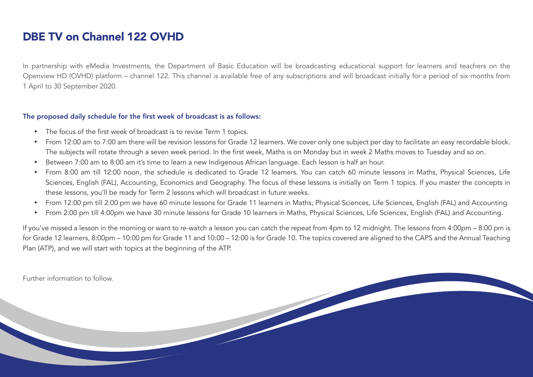## DBE TV on Channel 122 OVHD

In partnership with eMedia Investments, the Department of Basic Education will be broadcasting educational support for learners and teachers on the Openview HD (OVHD) platform – channel 122. This channel is available free of any subscriptions and will broadcast initially for a period of six months from 1 April to 30 September 2020.

## The proposed daily schedule for the first week of broadcast is as follows:

- The focus of the first week of broadcast is to revise Term 1 topics.
- From 12:00 am to 7:00 am there will be revision lessons for Grade 12 learners. We cover only one subject per day to facilitate an easy recordable block. The subjects will rotate through a seven week period. In the first week, Maths is on Monday but in week 2 Maths moves to Tuesday and so on.
- Between 7:00 am to 8:00 am it's time to learn a new Indigenous African language. Each lesson is half an hour.
- From 8:00 am till 12:00 noon, the schedule is dedicated to Grade 12 learners. You can catch 60 minute lessons in Maths, Physical Sciences, Life Sciences, English (FAL), Accounting, Economics and Geography. The focus of these lessons is initially on Term 1 topics. If you master the concepts in these lessons, you'll be ready for Term 2 lessons which will broadcast in future weeks.
- From 12:00 pm till 2:00 pm we have 60 minute lessons for Grade 11 learners in Maths, Physical Sciences, Life Sciences, English (FAL) and Accounting.
- From 2:00 pm till 4:00pm we have 30 minute lessons for Grade 10 learners in Maths, Physical Sciences, Life Sciences, English (FAL) and Accounting.

If you've missed a lesson in the morning or want to re-watch a lesson you can catch the repeat from 4pm to 12 midnight. The lessons from 4:00pm – 8:00 pm is for Grade 12 learners, 8:00pm – 10:00 pm for Grade 11 and 10:00 – 12:00 is for Grade 10. The topics covered are aligned to the CAPS and the Annual Teaching Plan (ATP), and we will start with topics at the beginning of the ATP.

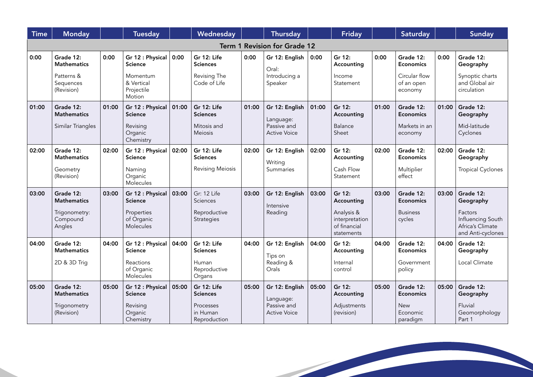| <b>Time</b>                         | <b>Monday</b>                                        |       | <b>Tuesday</b>                                                         |       | Wednesday                                                 |       | <b>Thursday</b>                                                   |       | <b>Friday</b>                                |       | <b>Saturday</b>                                           |       | <b>Sunday</b>                                              |
|-------------------------------------|------------------------------------------------------|-------|------------------------------------------------------------------------|-------|-----------------------------------------------------------|-------|-------------------------------------------------------------------|-------|----------------------------------------------|-------|-----------------------------------------------------------|-------|------------------------------------------------------------|
| <b>Term 1 Revision for Grade 12</b> |                                                      |       |                                                                        |       |                                                           |       |                                                                   |       |                                              |       |                                                           |       |                                                            |
| 0:00                                | Grade 12:<br><b>Mathematics</b>                      | 0:00  | Gr 12 : Physical<br><b>Science</b>                                     | 0:00  | Gr 12: Life<br><b>Sciences</b>                            | 0:00  | Gr 12: English<br>Oral:                                           | 0:00  | Gr 12:<br>Accounting                         | 0:00  | Grade 12:<br><b>Economics</b>                             | 0:00  | Grade 12:<br>Geography                                     |
|                                     | Patterns &<br>Sequences<br>(Revision)                |       | Momentum<br>& Vertical<br>Projectile<br>Motion                         |       | Revising The<br>Code of Life                              |       | Introducing a<br>Speaker                                          |       | Income<br>Statement                          |       | Circular flow<br>of an open<br>economy                    |       | Synoptic charts<br>and Global air<br>circulation           |
| 01:00                               | Grade 12:<br><b>Mathematics</b><br>Similar Triangles | 01:00 | Gr 12 : Physical<br><b>Science</b><br>Revising<br>Organic<br>Chemistry | 01:00 | Gr 12: Life<br><b>Sciences</b><br>Mitosis and<br>Meiosis  | 01:00 | Gr 12: English<br>Language:<br>Passive and<br><b>Active Voice</b> | 01:00 | Gr 12:<br>Accounting<br>Balance<br>Sheet     | 01:00 | Grade 12:<br><b>Economics</b><br>Markets in an<br>economy | 01:00 | Grade 12:<br>Geography<br>Mid-latitude<br>Cyclones         |
| 02:00                               | Grade 12:<br><b>Mathematics</b><br>Geometry          | 02:00 | Gr 12 : Physical<br><b>Science</b><br>Naming                           | 02:00 | Gr 12: Life<br><b>Sciences</b><br><b>Revising Meiosis</b> | 02:00 | Gr 12: English<br>Writing<br>Summaries                            | 02:00 | Gr 12:<br>Accounting<br>Cash Flow            | 02:00 | Grade 12:<br><b>Economics</b><br>Multiplier               | 02:00 | Grade 12:<br>Geography<br><b>Tropical Cyclones</b>         |
|                                     | (Revision)                                           |       | Organic<br>Molecules                                                   |       |                                                           |       |                                                                   |       | Statement                                    |       | effect                                                    |       |                                                            |
| 03:00                               | Grade 12:<br><b>Mathematics</b><br>Trigonometry:     | 03:00 | Gr 12 : Physical<br><b>Science</b><br>Properties                       | 03:00 | Gr: 12 Life<br>Sciences<br>Reproductive                   | 03:00 | Gr 12: English<br>Intensive<br>Reading                            | 03:00 | Gr 12:<br>Accounting<br>Analysis &           | 03:00 | Grade 12:<br><b>Economics</b><br><b>Business</b>          | 03:00 | Grade 12:<br>Geography<br>Factors                          |
|                                     | Compound<br>Angles                                   |       | of Organic<br>Molecules                                                |       | Strategies                                                |       |                                                                   |       | interpretation<br>of financial<br>statements |       | cycles                                                    |       | Influencing South<br>Africa's Climate<br>and Anti-cyclones |
| 04:00                               | Grade 12:<br><b>Mathematics</b>                      | 04:00 | Gr 12 : Physical<br><b>Science</b>                                     | 04:00 | Gr 12: Life<br><b>Sciences</b>                            | 04:00 | Gr 12: English<br>Tips on                                         | 04:00 | Gr 12:<br>Accounting                         | 04:00 | Grade 12:<br><b>Economics</b>                             | 04:00 | Grade 12:<br>Geography                                     |
|                                     | 2D & 3D Trig                                         |       | Reactions<br>of Organic<br>Molecules                                   |       | Human<br>Reproductive<br>Organs                           |       | Reading &<br>Orals                                                |       | Internal<br>control                          |       | Government<br>policy                                      |       | Local Climate                                              |
| 05:00                               | Grade 12:<br><b>Mathematics</b>                      | 05:00 | Gr 12 : Physical<br><b>Science</b>                                     | 05:00 | Gr 12: Life<br><b>Sciences</b>                            | 05:00 | Gr 12: English<br>Language:                                       | 05:00 | Gr 12:<br>Accounting                         | 05:00 | Grade 12:<br><b>Economics</b>                             | 05:00 | Grade 12:<br>Geography                                     |
|                                     | Trigonometry<br>(Revision)                           |       | Revising<br>Organic<br>Chemistry                                       |       | Processes<br>in Human<br>Reproduction                     |       | Passive and<br><b>Active Voice</b>                                |       | Adjustments<br>(revision)                    |       | <b>New</b><br>Economic<br>paradigm                        |       | Fluvial<br>Geomorphology<br>Part 1                         |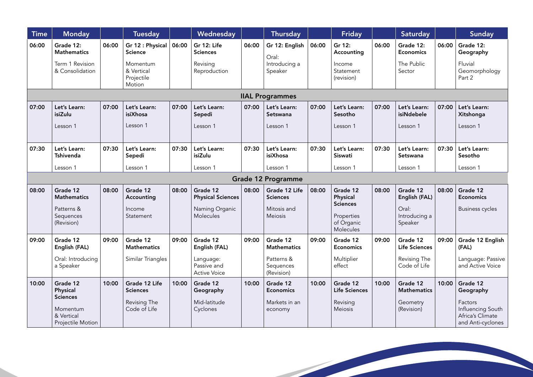| <b>Time</b> | <b>Monday</b>                                                                          |       | <b>Tuesday</b>                                                                       |       | Wednesday                                                           |       | <b>Thursday</b>                                            |       | <b>Friday</b>                                                                    |       | Saturday                                                         |       | Sunday                                                                                         |
|-------------|----------------------------------------------------------------------------------------|-------|--------------------------------------------------------------------------------------|-------|---------------------------------------------------------------------|-------|------------------------------------------------------------|-------|----------------------------------------------------------------------------------|-------|------------------------------------------------------------------|-------|------------------------------------------------------------------------------------------------|
| 06:00       | Grade 12:<br><b>Mathematics</b><br>Term 1 Revision<br>& Consolidation                  | 06:00 | Gr 12 : Physical<br><b>Science</b><br>Momentum<br>& Vertical<br>Projectile<br>Motion | 06:00 | Gr 12: Life<br><b>Sciences</b><br>Revising<br>Reproduction          | 06:00 | Gr 12: English<br>Oral:<br>Introducing a<br>Speaker        | 06:00 | Gr 12:<br>Accounting<br>Income<br>Statement<br>(revision)                        | 06:00 | Grade 12:<br><b>Economics</b><br>The Public<br>Sector            | 06:00 | Grade 12:<br>Geography<br>Fluvial<br>Geomorphology<br>Part 2                                   |
|             | <b>IIAL Programmes</b>                                                                 |       |                                                                                      |       |                                                                     |       |                                                            |       |                                                                                  |       |                                                                  |       |                                                                                                |
| 07:00       | Let's Learn:<br>isiZulu<br>Lesson 1                                                    | 07:00 | Let's Learn:<br>isiXhosa<br>Lesson 1                                                 | 07:00 | Let's Learn:<br>Sepedi<br>Lesson 1                                  | 07:00 | Let's Learn:<br>Setswana<br>Lesson 1                       | 07:00 | Let's Learn:<br>Sesotho<br>Lesson 1                                              | 07:00 | Let's Learn:<br>isiNdebele<br>Lesson 1                           | 07:00 | Let's Learn:<br>Xitshonga<br>Lesson 1                                                          |
| 07:30       | Let's Learn:<br>Tshivenda                                                              | 07:30 | Let's Learn:<br>Sepedi                                                               | 07:30 | Let's Learn:<br>isiZulu                                             | 07:30 | Let's Learn:<br>isiXhosa                                   | 07:30 | Let's Learn:<br>Siswati                                                          | 07:30 | Let's Learn:<br>Setswana                                         | 07:30 | Let's Learn:<br>Sesotho                                                                        |
|             | Lesson 1                                                                               |       | Lesson 1                                                                             |       | Lesson 1                                                            |       | Lesson 1                                                   |       | Lesson 1                                                                         |       | Lesson 1                                                         |       | Lesson 1                                                                                       |
|             |                                                                                        |       |                                                                                      |       |                                                                     |       | <b>Grade 12 Programme</b>                                  |       |                                                                                  |       |                                                                  |       |                                                                                                |
| 08:00       | Grade 12<br><b>Mathematics</b><br>Patterns &<br>Sequences<br>(Revision)                | 08:00 | Grade 12<br>Accounting<br>Income<br>Statement                                        | 08:00 | Grade 12<br><b>Physical Sciences</b><br>Naming Organic<br>Molecules | 08:00 | Grade 12 Life<br><b>Sciences</b><br>Mitosis and<br>Meiosis | 08:00 | Grade 12<br>Physical<br><b>Sciences</b><br>Properties<br>of Organic<br>Molecules | 08:00 | Grade 12<br>English (FAL)<br>Oral:<br>Introducing a<br>Speaker   | 08:00 | Grade 12<br><b>Economics</b><br><b>Business cycles</b>                                         |
| 09:00       | Grade 12<br>English (FAL)<br>Oral: Introducing<br>a Speaker                            | 09:00 | Grade 12<br><b>Mathematics</b><br>Similar Triangles                                  | 09:00 | Grade 12<br>English (FAL)<br>Language:<br>Passive and               | 09:00 | Grade 12<br><b>Mathematics</b><br>Patterns &<br>Sequences  | 09:00 | Grade 12<br><b>Economics</b><br>Multiplier<br>effect                             | 09:00 | Grade 12<br><b>Life Sciences</b><br>Revising The<br>Code of Life | 09:00 | Grade 12 English<br>(FAL)<br>Language: Passive<br>and Active Voice                             |
|             |                                                                                        |       |                                                                                      |       | <b>Active Voice</b>                                                 |       | (Revision)                                                 |       |                                                                                  |       |                                                                  |       |                                                                                                |
| 10:00       | Grade 12<br>Physical<br><b>Sciences</b><br>Momentum<br>& Vertical<br>Projectile Motion | 10:00 | Grade 12 Life<br><b>Sciences</b><br>Revising The<br>Code of Life                     | 10:00 | Grade 12<br>Geography<br>Mid-latitude<br>Cyclones                   | 10:00 | Grade 12<br><b>Economics</b><br>Markets in an<br>economy   | 10:00 | Grade 12<br>Life Sciences<br>Revising<br>Meiosis                                 | 10:00 | Grade 12<br><b>Mathematics</b><br>Geometry<br>(Revision)         | 10:00 | Grade 12<br>Geography<br>Factors<br>Influencing South<br>Africa's Climate<br>and Anti-cyclones |